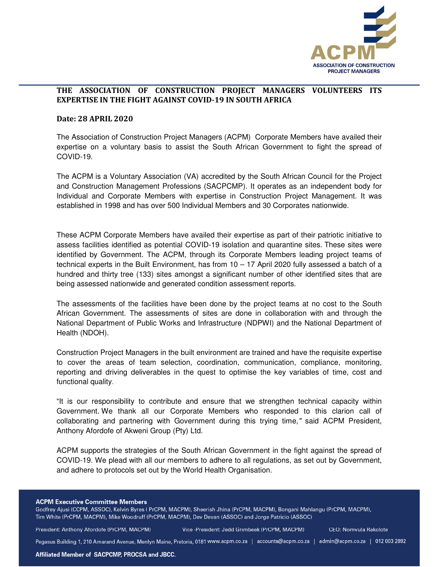

## **THE ASSOCIATION OF CONSTRUCTION PROJECT MANAGERS VOLUNTEERS ITS EXPERTISE IN THE FIGHT AGAINST COVID-19 IN SOUTH AFRICA**

## **Date: 28 APRIL 2020**

The Association of Construction Project Managers (ACPM) Corporate Members have availed their expertise on a voluntary basis to assist the South African Government to fight the spread of COVID-19.

The ACPM is a Voluntary Association (VA) accredited by the South African Council for the Project and Construction Management Professions (SACPCMP). It operates as an independent body for Individual and Corporate Members with expertise in Construction Project Management. It was established in 1998 and has over 500 Individual Members and 30 Corporates nationwide.

These ACPM Corporate Members have availed their expertise as part of their patriotic initiative to assess facilities identified as potential COVID-19 isolation and quarantine sites. These sites were identified by Government. The ACPM, through its Corporate Members leading project teams of technical experts in the Built Environment, has from 10 – 17 April 2020 fully assessed a batch of a hundred and thirty tree (133) sites amongst a significant number of other identified sites that are being assessed nationwide and generated condition assessment reports.

The assessments of the facilities have been done by the project teams at no cost to the South African Government. The assessments of sites are done in collaboration with and through the National Department of Public Works and Infrastructure (NDPWI) and the National Department of Health (NDOH).

Construction Project Managers in the built environment are trained and have the requisite expertise to cover the areas of team selection, coordination, communication, compliance, monitoring, reporting and driving deliverables in the quest to optimise the key variables of time, cost and functional quality.

"It is our responsibility to contribute and ensure that we strengthen technical capacity within Government. We thank all our Corporate Members who responded to this clarion call of collaborating and partnering with Government during this trying time," said ACPM President, Anthony Afordofe of Akweni Group (Pty) Ltd.

ACPM supports the strategies of the South African Government in the fight against the spread of COVID-19. We plead with all our members to adhere to all regulations, as set out by Government, and adhere to protocols set out by the World Health Organisation.

**ACPM Executive Committee Members** 

Godfrey Ajusi (CCPM, ASSOC), Kelvin Byres (PrCPM, MACPM), Sheerish Jhina (PrCPM, MACPM), Bongani Mahlangu (PrCPM, MACPM), Tim White (PrCPM, MACPM), Mike Woodruff (PrCPM, MACPM), Dev Devan (ASSOC) and Jorge Patricio (ASSOC)

President: Anthony Afordofe (PrCPM, MACPM)

Vice -President: Jedd Grimbeek (PrCPM, MACPM)

**CEO: Nomvula Rakolote** 

Pegasus Building 1, 210 Amarand Avenue, Menlyn Maine, Pretoria, 0181 www.acpm.co.za | accounts@acpm.co.za | admin@acpm.co.za | 012 003 2892

Affiliated Member of SACPCMP, PROCSA and JBCC.